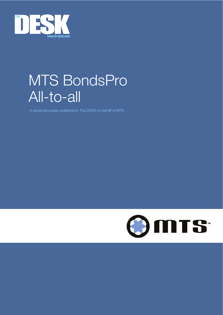

# MTS BondsPro All-to-all

A panel discussion published in The DESK on behalf of MTS.

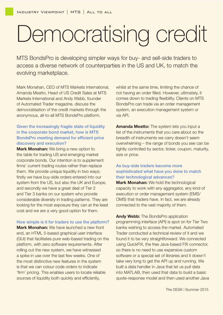# Democratising credit

MTS BondsPro is developing simpler ways for buy- and sell-side traders to access a diverse network of counterparties in the US and UK, to match the evolving marketplace.

Mark Monahan, CEO of MTS Markets International, Amanda Meatto, Head of US Credit Sales at MTS Markets International and Andy Webb, founder of Automated Trader magazine, discuss the democratisation of the credit markets through the anonymous, all-to-all MTS BondsPro platform.

# Given the increasingly fragile state of liquidity in the corporate bond market, how is MTS BondsPro meeting demand for efficient price discovery and execution?

**Mark Monahan:** We bring a new option to the table for trading US and emerging market corporate bonds. Our intention is to supplement firms' current trading routes rather than replace them. We provide unique liquidity in two ways; firstly we have buy-side orders entered into our system from the US, but also the UK and Europe, and secondly we have a great deal of Tier 2 and Tier 3 banks on our system who provide considerable diversity in trading patterns. They are looking for the most exposure they can at the least cost and we are a very good option for them.

How simple is it for traders to use the platform?

**Mark Monahan:** We have launched a new front end, an HTML 5-based graphical user interface (GUI) that facilitates pure web-based trading on the platform, with zero software requirements. After rolling out the new system, we have witnessed a spike in use over the last few weeks. One of the most distinctive new features in the system is that we can colour code orders to indicate 'firm' pricing. This enables users to locate reliable sources of liquidity both quickly and efficiently,

whilst at the same time, limiting the chance of not having an order filled. However, ultimately, it comes down to trading flexibility. Clients on MTS BondsPro can trade via an order management system, an execution management system or via API.

**Amanda Meatto:** The system lets you input a list of the instruments that you care about so the breadth of instruments we carry doesn't seem overwhelming – the range of bonds you see can be tightly controlled by sector, ticker, coupon, maturity, size or price.

# As buy-side traders become more sophisticated what have you done to match their technological advances?

**Mark Monahan:** We hold the technological capacity to work with any aggregator, any kind of execution or order management system (EMS/ OMS) that traders have. In fact, we are already connected to the vast majority of them.

**Andy Webb:** The BondsPro application programming interface (API) is spot on for Tier Two banks wishing to access the market. Automated Trader conducted a technical review of it and we found it to be very straightforward. We connected using QuickFIX, the free Java-based FIX connector, so there is no need to use expensive custom software or a special set of libraries and it doesn't take very long to get the API up and running. We built a data handler in Java that let us pull data into MATLAB, then used that data to build a basic quote-response model and then used another Java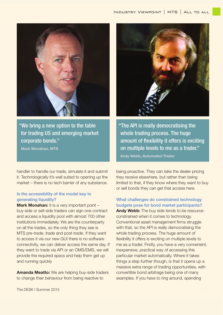

"We bring a new option to the table for trading US and emerging market corporate bonds."

**Mark Monahan, MTS**

handler to handle our trade, simulate it and submit it. Technologically it's well suited to opening up the market – there is no tech barrier of any substance.

#### Is the accessibility of the model key to generating liquidity?

**Mark Monahan:** It is a very important point – buy-side or sell-side traders can sign one contract and access a liquidity pool with almost 700 other institutions immediately. We are the counterparty on all the trades, so the only thing they see is MTS pre-trade, trade and post-trade. If they want to access it via our new GUI there is no software connectivity, we can deliver access the same day. If they want to trade via API or an OMS/EMS, we will provide the required specs and help them get up and running quickly

**Amanda Meatto:** We are helping buy-side traders to change their behaviour from being reactive to



"The API is really democratising the whole trading process. The huge amount of flexibility it offers is exciting on multiple levels to me as a trader." **Andy Webb, Automated Trader**

being proactive. They can take the dealer pricing they receive elsewhere, but rather than being limited to that, if they know where they want to buy or sell bonds they can get that access here.

# What challenges do constrained technology budgets pose for bond market participants?

**Andy Webb:** The buy side tends to be resourceconstrained when it comes to technology. Conventional asset management firms struggle with that, so the API is really democratising the whole trading process. The huge amount of flexibility it offers is exciting on multiple levels to me as a trader. Firstly, you have a very convenient, inexpensive, practical way of accessing this particular market automatically. Where it takes things a step further though, is that it opens up a massive extra range of trading opportunities, with convertible bond arbitrage being one of many examples. If you have to ring around, spending